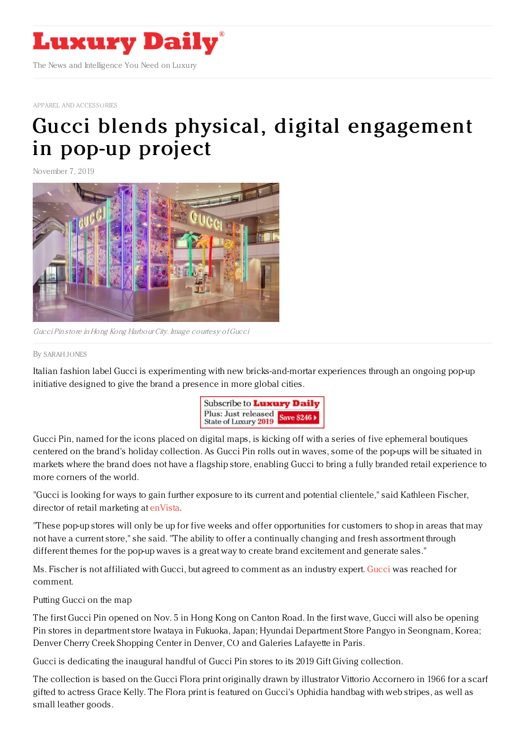

APPAREL AND [ACCESSORIES](https://www.luxurydaily.com/category/sectors/apparel-and-accessories/)

## Gucci blends physical, digital [engagement](https://www.luxurydaily.com/gucci-blends-physical-digital-engagement-in-pop-up-project/) in pop-up project

November 7, 2019



Gucci Pin store in Hong Kong Harbour City. Image courtesy ofGucci

## By [SARAH](file:///author/sarah-jones) JONES

Italian fashion label Gucci is experimenting with new bricks-and-mortar experiences through an ongoing pop-up initiative designed to give the brand a presence in more global cities.



Gucci Pin, named for the icons placed on digital maps, is kicking off with a series of five ephemeral boutiques centered on the brand's holiday collection. As Gucci Pin rolls out in waves, some of the pop-ups will be situated in markets where the brand does not have a flagship store, enabling Gucci to bring a fully branded retail experience to more corners of the world.

"Gucci is looking for ways to gain further exposure to its current and potential clientele," said Kathleen Fischer, director of retail marketing at [enVista](https://www.envistacorp.com/).

"These pop-up stores will only be up for five weeks and offer opportunities for customers to shop in areas that may not have a current store," she said. "The ability to offer a continually changing and fresh assortment through different themes for the pop-up waves is a great way to create brand excitement and generate sales."

Ms. Fischer is not affiliated with Gucci, but agreed to comment as an industry expert. [Gucci](http://gucci.com) was reached for comment.

Putting Gucci on the map

The first Gucci Pin opened on Nov. 5 in Hong Kong on Canton Road. In the first wave, Gucci will also be opening Pin stores in department store Iwataya in Fukuoka, Japan; Hyundai Department Store Pangyo in Seongnam, Korea; Denver Cherry Creek Shopping Center in Denver, CO and Galeries Lafayette in Paris.

Gucci is dedicating the inaugural handful of Gucci Pin stores to its 2019 Gift Giving collection.

The collection is based on the Gucci Flora print originally drawn by illustrator Vittorio Accornero in 1966 for a scarf gifted to actress Grace Kelly. The Flora print is featured on Gucci's Ophidia handbag with web stripes, as well as small leather goods.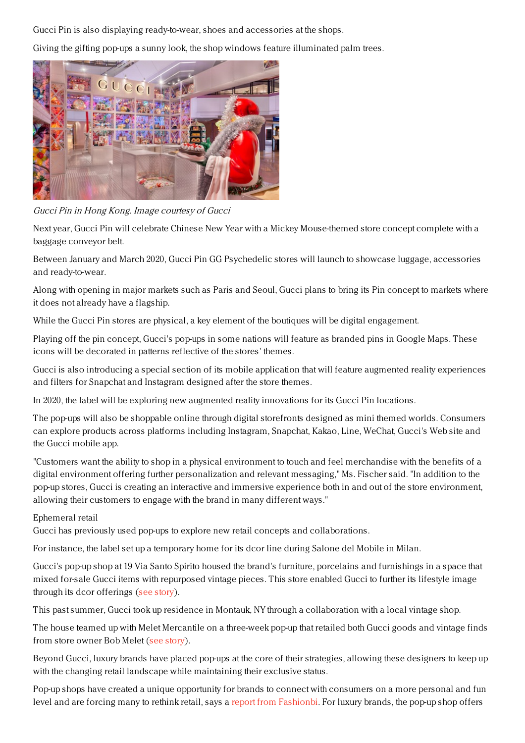Gucci Pin is also displaying ready-to-wear, shoes and accessories at the shops.

Giving the gifting pop-ups a sunny look, the shop windows feature illuminated palm trees.



Gucci Pin in Hong Kong. Image courtesy of Gucci

Next year, Gucci Pin will celebrate Chinese New Year with a Mickey Mouse-themed store concept complete with a baggage conveyor belt.

Between January and March 2020, Gucci Pin GG Psychedelic stores will launch to showcase luggage, accessories and ready-to-wear.

Along with opening in major markets such as Paris and Seoul, Gucci plans to bring its Pin concept to markets where it does not already have a flagship.

While the Gucci Pin stores are physical, a key element of the boutiques will be digital engagement.

Playing off the pin concept, Gucci's pop-ups in some nations will feature as branded pins in Google Maps. These icons will be decorated in patterns reflective of the stores' themes.

Gucci is also introducing a special section of its mobile application that will feature augmented reality experiences and filters for Snapchat and Instagram designed after the store themes.

In 2020, the label will be exploring new augmented reality innovations for its Gucci Pin locations.

The pop-ups will also be shoppable online through digital storefronts designed as mini themed worlds. Consumers can explore products across platforms including Instagram, Snapchat, Kakao, Line, WeChat, Gucci's Web site and the Gucci mobile app.

"Customers want the ability to shop in a physical environment to touch and feel merchandise with the benefits of a digital environment offering further personalization and relevant messaging," Ms. Fischer said. "In addition to the pop-up stores, Gucci is creating an interactive and immersive experience both in and out of the store environment, allowing their customers to engage with the brand in many different ways."

## Ephemeral retail

Gucci has previously used pop-ups to explore new retail concepts and collaborations.

For instance, the label set up a temporary home for its dcor line during Salone del Mobile in Milan.

Gucci's pop-up shop at 19 Via Santo Spirito housed the brand's furniture, porcelains and furnishings in a space that mixed for-sale Gucci items with repurposed vintage pieces. This store enabled Gucci to further its lifestyle image through its dcor offerings (see [story](https://www.luxurydaily.com/gucci-showcases-eclectic-aesthetic-in-milan-pop-up/)).

This past summer, Gucci took up residence in Montauk, NY through a collaboration with a local vintage shop.

The house teamed up with Melet Mercantile on a three-week pop-up that retailed both Gucci goods and vintage finds from store owner Bob Melet (see [story](https://www.luxurydaily.com/gucci-goes-to-long-island-for-laid-back-summer-shop/)).

Beyond Gucci, luxury brands have placed pop-ups at the core of their strategies, allowing these designers to keep up with the changing retail landscape while maintaining their exclusive status.

Pop-up shops have created a unique opportunity for brands to connect with consumers on a more personal and fun level and are forcing many to rethink retail, says a report from [Fashionbi](https://fashionbi.com/insights/marketing-research/the-era-of-pop-up-stores). For luxury brands, the pop-up shop offers